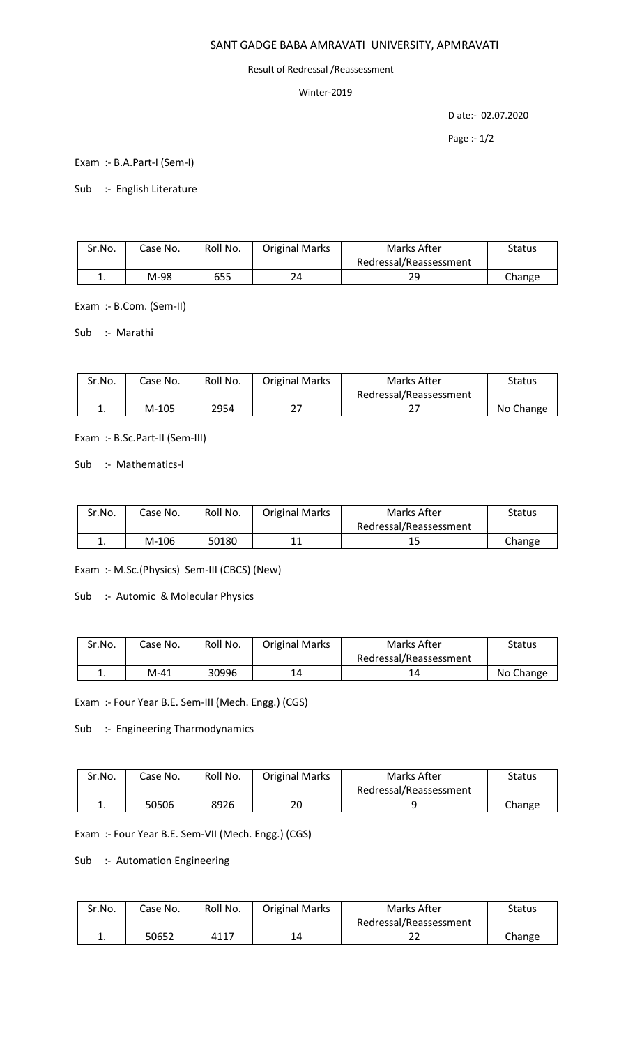## SANT GADGE BABA AMRAVATI UNIVERSITY, APMRAVATI

## Result of Redressal /Reassessment

## Winter-2019

D ate:- 02.07.2020

Page :- 1/2

Exam :- B.A.Part-I (Sem-I)

Sub :- English Literature

| Sr.No. | Case No. | Roll No. | <b>Original Marks</b> | Marks After            | Status |
|--------|----------|----------|-----------------------|------------------------|--------|
|        |          |          |                       | Redressal/Reassessment |        |
| . ـ    | M-98     | 655      | 24                    | 29                     | Change |

Exam :- B.Com. (Sem-II)

Sub :- Marathi

| Sr.No.   | Case No. | Roll No. | <b>Original Marks</b> | Marks After            | Status    |
|----------|----------|----------|-----------------------|------------------------|-----------|
|          |          |          |                       | Redressal/Reassessment |           |
| <b>.</b> | M-105    | 2954     |                       | <u>.</u>               | No Change |

Exam :- B.Sc.Part-II (Sem-III)

Sub :- Mathematics-I

| Sr.No. | Case No. | Roll No. | <b>Original Marks</b> | Marks After            | Status |
|--------|----------|----------|-----------------------|------------------------|--------|
|        |          |          |                       | Redressal/Reassessment |        |
| ᆠ.     | M-106    | 50180    | 11                    | ∸                      | Change |

Exam :- M.Sc.(Physics) Sem-III (CBCS) (New)

Sub :- Automic & Molecular Physics

| Sr.No. | Case No. | Roll No. | <b>Original Marks</b> | Marks After            | Status    |
|--------|----------|----------|-----------------------|------------------------|-----------|
|        |          |          |                       | Redressal/Reassessment |           |
| ∸.     | M-41     | 30996    | 14                    |                        | No Change |

Exam :- Four Year B.E. Sem-III (Mech. Engg.) (CGS)

Sub :- Engineering Tharmodynamics

| Sr.No. | Case No. | Roll No. | <b>Original Marks</b> | Marks After            | <b>Status</b> |
|--------|----------|----------|-----------------------|------------------------|---------------|
|        |          |          |                       | Redressal/Reassessment |               |
| ∸.     | 50506    | 8926     | 20                    |                        | Change        |

Exam :- Four Year B.E. Sem-VII (Mech. Engg.) (CGS)

Sub :- Automation Engineering

| Sr.No. | Case No. | Roll No. | <b>Original Marks</b> | Marks After            | Status |
|--------|----------|----------|-----------------------|------------------------|--------|
|        |          |          |                       | Redressal/Reassessment |        |
| . .    | 50652    | 4117     | 14                    |                        | Change |